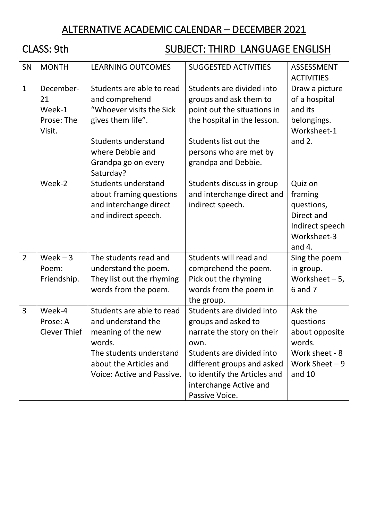# ALTERNATIVE ACADEMIC CALENDAR – DECEMBER 2021

# CLASS: 9th SUBJECT: THIRD LANGUAGE ENGLISH

| SN             | <b>MONTH</b>                                      | <b>LEARNING OUTCOMES</b>                                                                                                                                                           | <b>SUGGESTED ACTIVITIES</b>                                                                                                                                                                                                   | ASSESSMENT<br><b>ACTIVITIES</b>                                                                   |
|----------------|---------------------------------------------------|------------------------------------------------------------------------------------------------------------------------------------------------------------------------------------|-------------------------------------------------------------------------------------------------------------------------------------------------------------------------------------------------------------------------------|---------------------------------------------------------------------------------------------------|
| $\mathbf{1}$   | December-<br>21<br>Week-1<br>Prose: The<br>Visit. | Students are able to read<br>and comprehend<br>"Whoever visits the Sick<br>gives them life".<br><b>Students understand</b><br>where Debbie and<br>Grandpa go on every<br>Saturday? | Students are divided into<br>groups and ask them to<br>point out the situations in<br>the hospital in the lesson.<br>Students list out the<br>persons who are met by<br>grandpa and Debbie.                                   | Draw a picture<br>of a hospital<br>and its<br>belongings.<br>Worksheet-1<br>and $2.$              |
|                | Week-2                                            | <b>Students understand</b><br>about framing questions<br>and interchange direct<br>and indirect speech.                                                                            | Students discuss in group<br>and interchange direct and<br>indirect speech.                                                                                                                                                   | Quiz on<br>framing<br>questions,<br>Direct and<br>Indirect speech<br>Worksheet-3<br>and $4.$      |
| $\overline{2}$ | $Week - 3$<br>Poem:<br>Friendship.                | The students read and<br>understand the poem.<br>They list out the rhyming<br>words from the poem.                                                                                 | Students will read and<br>comprehend the poem.<br>Pick out the rhyming<br>words from the poem in<br>the group.                                                                                                                | Sing the poem<br>in group.<br>Worksheet $-5$ ,<br>6 and 7                                         |
| 3              | Week-4<br>Prose: A<br><b>Clever Thief</b>         | Students are able to read<br>and understand the<br>meaning of the new<br>words.<br>The students understand<br>about the Articles and<br>Voice: Active and Passive.                 | Students are divided into<br>groups and asked to<br>narrate the story on their<br>own.<br>Students are divided into<br>different groups and asked<br>to identify the Articles and<br>interchange Active and<br>Passive Voice. | Ask the<br>questions<br>about opposite<br>words.<br>Work sheet - 8<br>Work Sheet $-9$<br>and $10$ |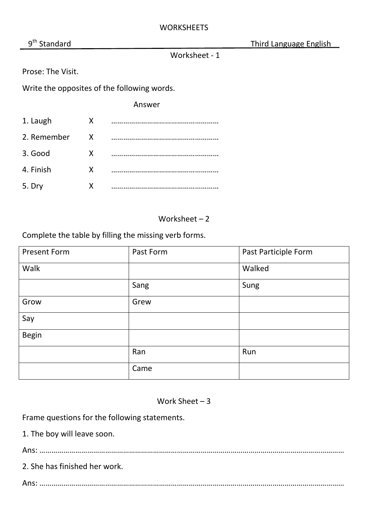Third Language English

Worksheet - 1

Prose: The Visit.

Write the opposites of the following words.

Answer

| 1. Laugh    | X |  |
|-------------|---|--|
| 2. Remember | X |  |
| 3. Good     | x |  |
| 4. Finish   | x |  |
| 5. Dry      | x |  |

Worksheet – 2

Complete the table by filling the missing verb forms.

| <b>Present Form</b> | Past Form | Past Participle Form |
|---------------------|-----------|----------------------|
| Walk                |           | Walked               |
|                     | Sang      | Sung                 |
| Grow                | Grew      |                      |
| Say                 |           |                      |
| <b>Begin</b>        |           |                      |
|                     | Ran       | Run                  |
|                     | Came      |                      |

Work Sheet – 3

Frame questions for the following statements.

1. The boy will leave soon.

Ans: ………………………………………………………………………………………………………………………………………

2. She has finished her work.

Ans: ………………………………………………………………………………………………………………………………………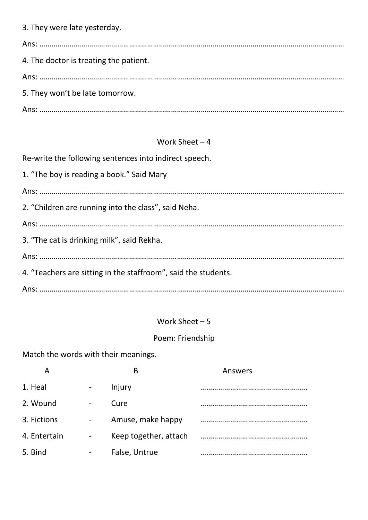|  |  | 3. They were late yesterday. |  |
|--|--|------------------------------|--|
|  |  |                              |  |

| 4. The doctor is treating the patient. |
|----------------------------------------|
|                                        |
| 5. They won't be late tomorrow.        |
|                                        |

### Work Sheet – 4

Re-write the following sentences into indirect speech.

|  |  |  |  | 1. "The boy is reading a book." Said Mary |  |  |
|--|--|--|--|-------------------------------------------|--|--|
|--|--|--|--|-------------------------------------------|--|--|

Ans: ……………………………………………………………………………………………………………………………………… 2. "Children are running into the class", said Neha. Ans: ……………………………………………………………………………………………………………………………………… 3. "The cat is drinking milk", said Rekha. Ans: ……………………………………………………………………………………………………………………………………… 4. "Teachers are sitting in the staffroom", said the students.

Ans: ………………………………………………………………………………………………………………………………………

### Work Sheet – 5

#### Poem: Friendship

Match the words with their meanings.

| Α            |                          | B                     | Answers |
|--------------|--------------------------|-----------------------|---------|
| 1. Heal      | -                        | Injury                |         |
| 2. Wound     | $\overline{\phantom{0}}$ | Cure                  |         |
| 3. Fictions  | -                        | Amuse, make happy     |         |
| 4. Entertain | -                        | Keep together, attach |         |
| 5. Bind      | -                        | False, Untrue         |         |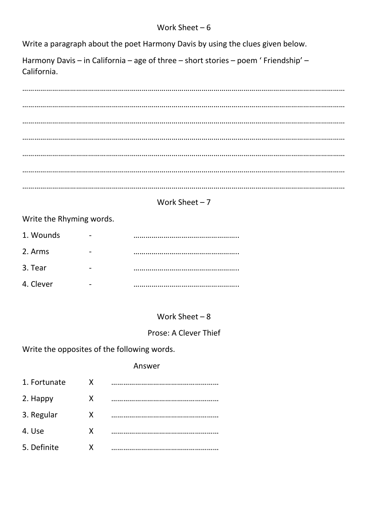Write a paragraph about the poet Harmony Davis by using the clues given below.

Harmony Davis – in California – age of three – short stories – poem ' Friendship' – California.

|                          | Work Sheet $-7$ |  |
|--------------------------|-----------------|--|
| Write the Rhyming words. |                 |  |

| 1. Wounds |   |  |
|-----------|---|--|
| 2. Arms   | - |  |
| 3. Tear   |   |  |
| 4. Clever |   |  |

## Work Sheet – 8

#### Prose: A Clever Thief

Write the opposites of the following words.

#### Answer

| 1. Fortunate | x |  |
|--------------|---|--|
| 2. Happy     | x |  |
| 3. Regular   | X |  |
| 4. Use       | Χ |  |
| 5. Definite  | χ |  |